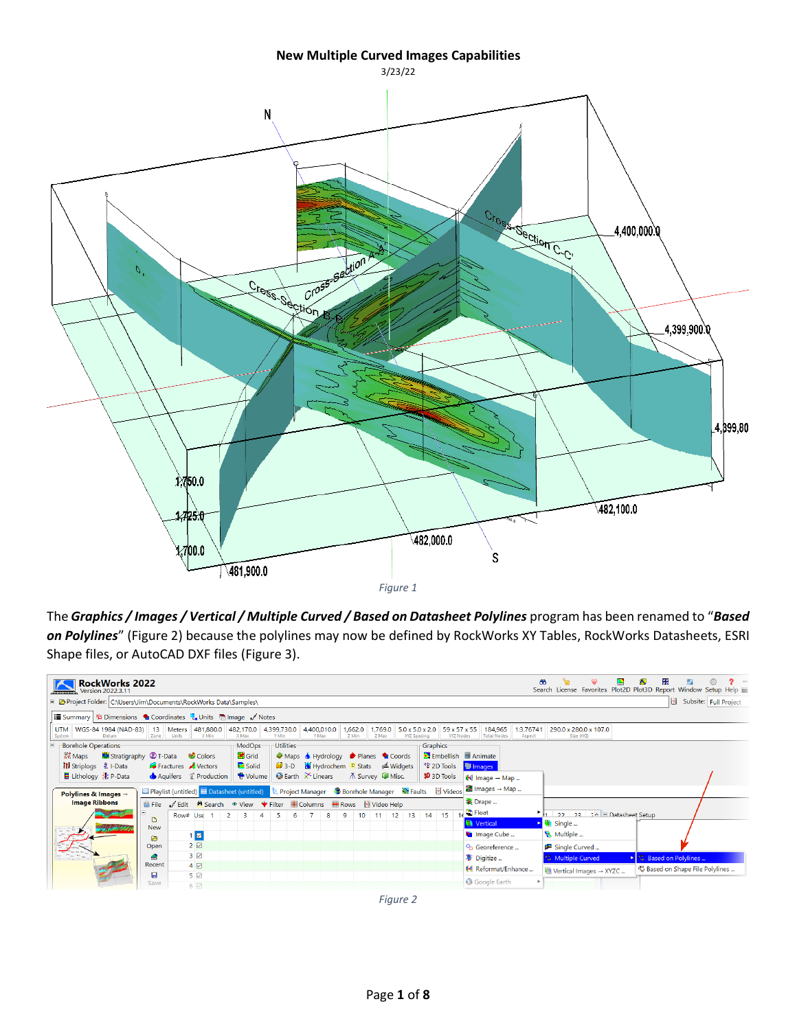## **New Multiple Curved Images Capabilities**



The *Graphics / Images / Vertical / Multiple Curved / Based on Datasheet Polylines* program has been renamed to "*Based on Polylines*" [\(Figure 2\)](#page-0-0) because the polylines may now be defined by RockWorks XY Tables, RockWorks Datasheets, ESRI Shape files, or AutoCAD DXF files [\(Figure 3\)](#page-1-0).

<span id="page-0-0"></span>

| <b>RockWorks 2022</b><br>Version 2022.3.11                                                   |                 |                                                                                                                                 |                     |                        |       |                                  |                   |                  |               |                                            |                           |                                                      |                     |                                    |            | ₩                                          | 3<br>Search License Favorites Plot2D Plot3D Report Window Setup Help |
|----------------------------------------------------------------------------------------------|-----------------|---------------------------------------------------------------------------------------------------------------------------------|---------------------|------------------------|-------|----------------------------------|-------------------|------------------|---------------|--------------------------------------------|---------------------------|------------------------------------------------------|---------------------|------------------------------------|------------|--------------------------------------------|----------------------------------------------------------------------|
| Project Folder: C:\Users\Jim\Documents\RockWorks Data\Samples\                               |                 |                                                                                                                                 |                     |                        |       |                                  |                   |                  |               |                                            |                           |                                                      |                     |                                    |            | Ш                                          | Subsite: Full Project                                                |
| <b>ill Summary</b> $ \frac{16}{14} $ Dimensions ● Coordinates <b>#</b> Units ● Image / Notes |                 |                                                                                                                                 |                     |                        |       |                                  |                   |                  |               |                                            |                           |                                                      |                     |                                    |            |                                            |                                                                      |
| <b>UTM</b><br>WGS-84 1984 (NAD-83) 13 Meters<br>Datum<br>System                              | Zone            | 481,880.0<br>Units<br>X Min                                                                                                     | 482,170.0<br>X Max  | 4,399,730.0<br>Y Min   |       | 4,400,010.0<br>Y Max             | 1,662.0<br>Z Min  | 1,769.0<br>Z Max |               | $5.0 \times 5.0 \times 2.0$<br>XYZ Spacing | 59 x 57 x 55<br>XYZ Nodes | 184,965<br><b>Total Nodes</b>                        | 1:3.76741<br>Aspect | 290.0 x 280.0 x 107.0              | Size (XYZ) |                                            |                                                                      |
| <b>Borehole Operations</b>                                                                   |                 |                                                                                                                                 | ModOps <sup>-</sup> | Utilities <sup>-</sup> |       |                                  |                   |                  |               |                                            | Graphics <sup>-</sup>     |                                                      |                     |                                    |            |                                            |                                                                      |
| <b>ILI</b> Stratigraphy <b>C</b> T-Data<br>2. Maps                                           |                 | <b>Colors</b>                                                                                                                   | <b>B</b> Grid       |                        |       | Maps Hydrology Planes Coords     |                   |                  |               |                                            |                           | Embellish <b>B</b> Animate                           |                     |                                    |            |                                            |                                                                      |
| <b>Hi</b> Striplogs <b>主</b> I-Data                                                          |                 | Fractures Vectors                                                                                                               | Solid               |                        | $3-D$ | Midgets Midgets Midgets          |                   |                  |               |                                            | *** 2D Tools              | <sup>图</sup> Images                                  |                     |                                    |            |                                            |                                                                      |
|                                                                                              |                 | Aquifers <i>Le</i> Production                                                                                                   | Volume              |                        |       | $\bullet$ Earth $\times$ Linears | A Survey La Misc. |                  |               |                                            | <b>3D</b> 3D Tools        | $\blacklozenge\blacklozenge$ Image $\rightarrow$ Map |                     |                                    |            |                                            |                                                                      |
| Polylines & Images $\rightarrow$                                                             |                 | <b>Ⅲ Playlist (untitled)</b> Ⅱ Datasheet (untitled) <b>Ε</b> Project Manager <b>●</b> Borehole Manager N Faults <i>H</i> Videos |                     |                        |       |                                  |                   |                  |               |                                            |                           | $\frac{1}{2}$ Images $\rightarrow$ Map               |                     |                                    |            |                                            |                                                                      |
| <b>Image Ribbons</b>                                                                         |                 | File Edit H Search ® View Filter Columns Rows H Video Help                                                                      |                     |                        |       |                                  |                   |                  |               |                                            |                           | <b>x</b> Drape                                       |                     |                                    |            |                                            |                                                                      |
|                                                                                              |                 | Row# Use                                                                                                                        | $2^{\circ}$<br>3    | -5<br>4                | 6     | 8                                | 9                 |                  | $10$ 11 12 13 |                                            | 14 15                     | $\frac{1}{16}$ ID Float                              |                     | 1 22 23 24 E Datasheet Setup       |            |                                            |                                                                      |
|                                                                                              | B<br><b>New</b> |                                                                                                                                 |                     |                        |       |                                  |                   |                  |               |                                            |                           | <b>Wertical</b>                                      |                     | Single                             |            |                                            |                                                                      |
|                                                                                              | ◚               | $\blacksquare$                                                                                                                  |                     |                        |       |                                  |                   |                  |               |                                            |                           | Image Cube                                           |                     | Multiple                           |            |                                            |                                                                      |
|                                                                                              | Open            | $2 \boxtimes$                                                                                                                   |                     |                        |       |                                  |                   |                  |               |                                            |                           | <sup>o</sup> n Georeference                          |                     | Single Curved                      |            |                                            |                                                                      |
|                                                                                              | A               | 3 <sup>2</sup>                                                                                                                  |                     |                        |       |                                  |                   |                  |               |                                            |                           | <b>要 Digitize </b>                                   |                     | <b>C</b> Multiple Curved           |            | ▶ C Based on Polylines                     |                                                                      |
|                                                                                              | Recent          | $4\boxtimes$                                                                                                                    |                     |                        |       |                                  |                   |                  |               |                                            |                           | Reformat/Enhance                                     |                     | Wertical Images $\rightarrow$ XYZC |            | <sup>2</sup> Based on Shape File Polylines |                                                                      |
|                                                                                              | п               | $5\triangleright$                                                                                                               |                     |                        |       |                                  |                   |                  |               |                                            |                           | Google Earth                                         |                     |                                    |            |                                            |                                                                      |
|                                                                                              | Save            | $6$ $\heartsuit$                                                                                                                |                     |                        |       |                                  |                   |                  |               |                                            |                           |                                                      |                     |                                    |            |                                            |                                                                      |

*Figure 2*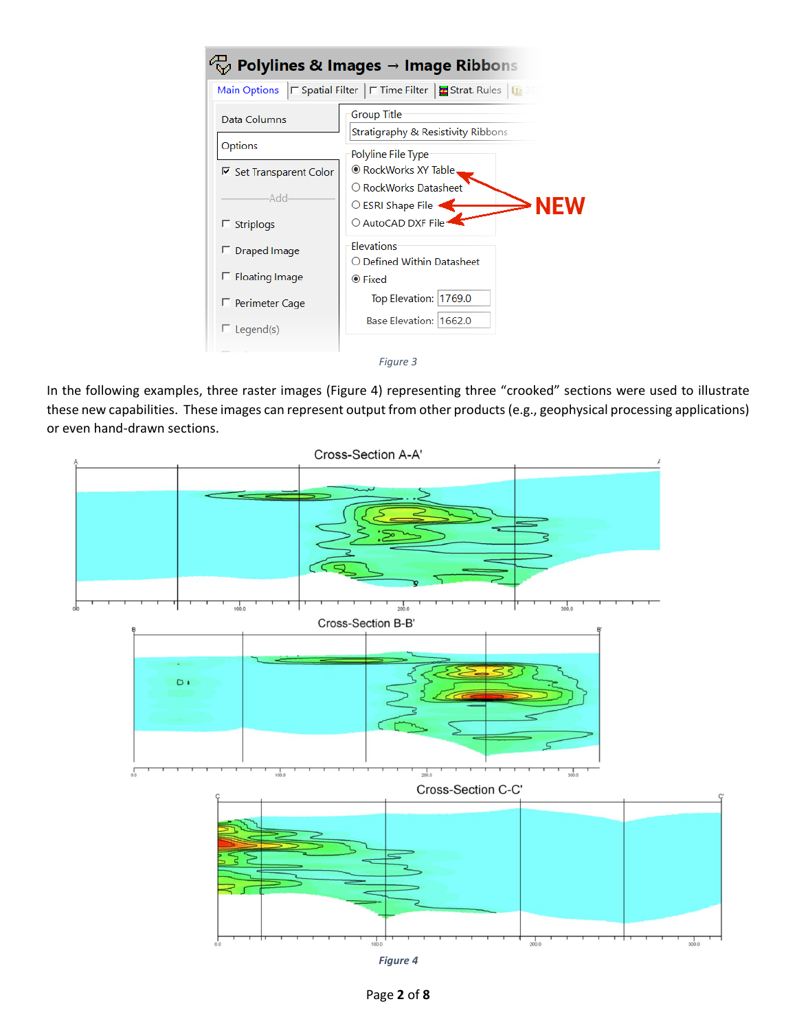| <b>Main Options</b>                    | □ Spatial Filter   □ Time Filter   <mark>±</mark> Strat. Rules   □ 3D |  |  |  |  |  |  |
|----------------------------------------|-----------------------------------------------------------------------|--|--|--|--|--|--|
| Data Columns                           | <b>Group Title</b><br>Stratigraphy & Resistivity Ribbons              |  |  |  |  |  |  |
| Options                                | Polyline File Type                                                    |  |  |  |  |  |  |
| <b>▽ Set Transparent Color</b>         | ® RockWorks XY Table.                                                 |  |  |  |  |  |  |
| Add <sub>:</sub><br>$\Gamma$ Striplogs | ○ RockWorks Datasheet<br>○ ESRI Shape File<br>○ AutoCAD DXF File:     |  |  |  |  |  |  |
| $\Box$ Draped Image                    | Elevations<br>○ Defined Within Datasheet                              |  |  |  |  |  |  |
| $\Box$ Floating Image                  | $\circledcirc$ Fixed                                                  |  |  |  |  |  |  |
| □ Perimeter Cage                       | Top Elevation: 1769.0                                                 |  |  |  |  |  |  |
| $\Box$ Legend(s)                       | Base Elevation: 1662.0                                                |  |  |  |  |  |  |

<span id="page-1-0"></span>In the following examples, three raster images [\(Figure 4\)](#page-1-1) representing three "crooked" sections were used to illustrate these new capabilities. These images can represent output from other products (e.g., geophysical processing applications) or even hand-drawn sections.

<span id="page-1-1"></span>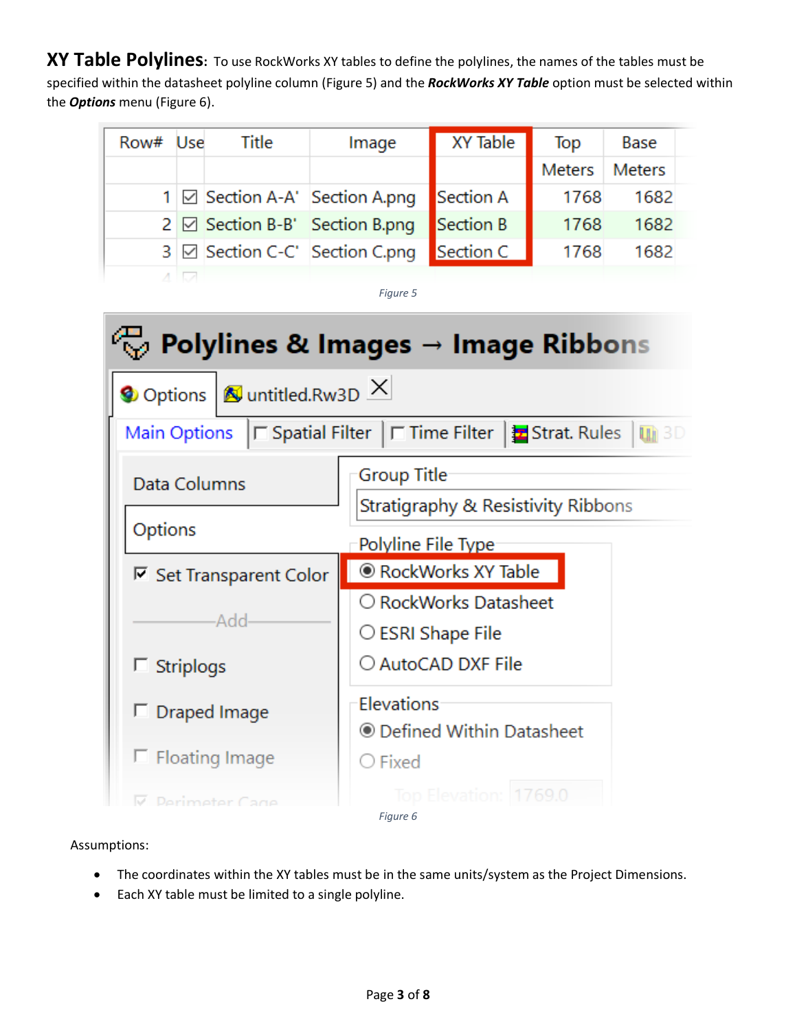**XY Table Polylines:** To use RockWorks XY tables to define the polylines, the names of the tables must be specified within the datasheet polyline column [\(Figure 5\)](#page-2-0) and the *RockWorks XY Table* option must be selected within the *Options* menu [\(Figure 6\)](#page-2-1).

| Row# Use | <b>Title</b> | Image                                    | <b>XY Table</b> | Top    | Base          |
|----------|--------------|------------------------------------------|-----------------|--------|---------------|
|          |              |                                          |                 | Meters | <b>Meters</b> |
|          |              | 1 ⊠ Section A-A' Section A.png           | Section A       | 1768   | 1682          |
|          |              | $2 \boxtimes$ Section B-B' Section B.png | Section B       | 1768   | 1682          |
|          |              | 3 ⊠ Section C-C' Section C.png           | Section C       | 1768   | 1682          |

*Figure 5*

<span id="page-2-0"></span>

<span id="page-2-1"></span>Assumptions:

- The coordinates within the XY tables must be in the same units/system as the Project Dimensions.
- Each XY table must be limited to a single polyline.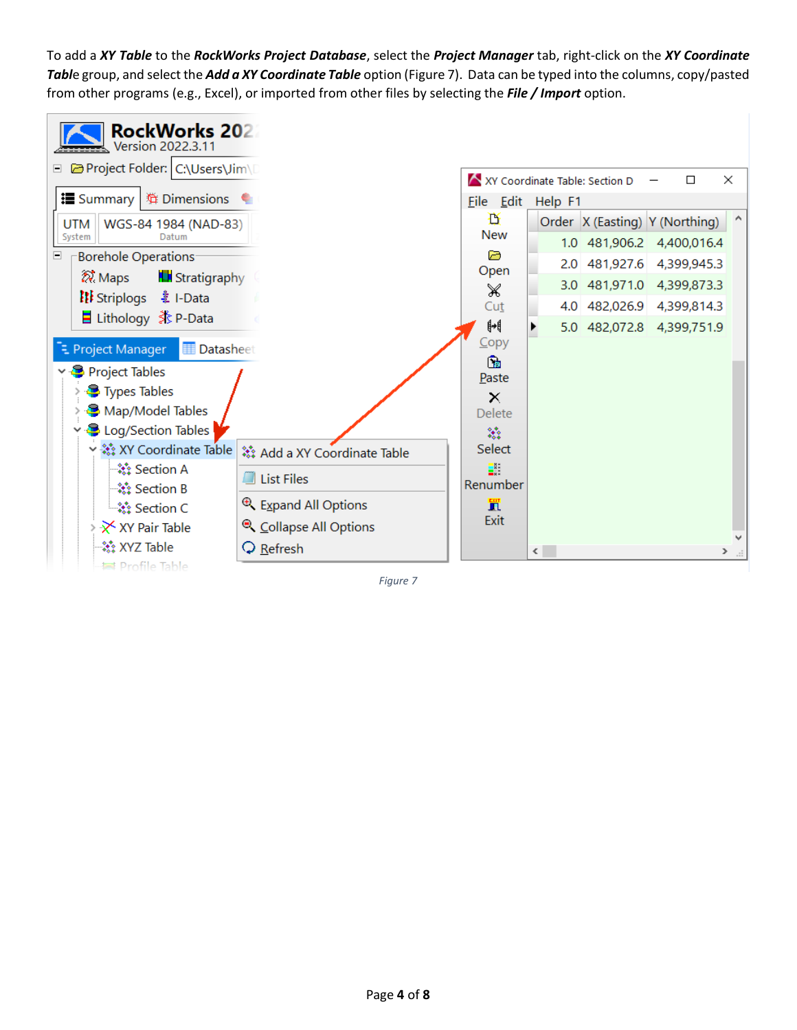To add a *XY Table* to the *RockWorks Project Database*, select the *Project Manager* tab, right-click on the *XY Coordinate Tabl*e group, and select the *Add a XY Coordinate Table* option [\(Figure 7\)](#page-3-0). Data can be typed into the columns, copy/pasted from other programs (e.g., Excel), or imported from other files by selecting the *File / Import* option.



<span id="page-3-0"></span>*Figure 7*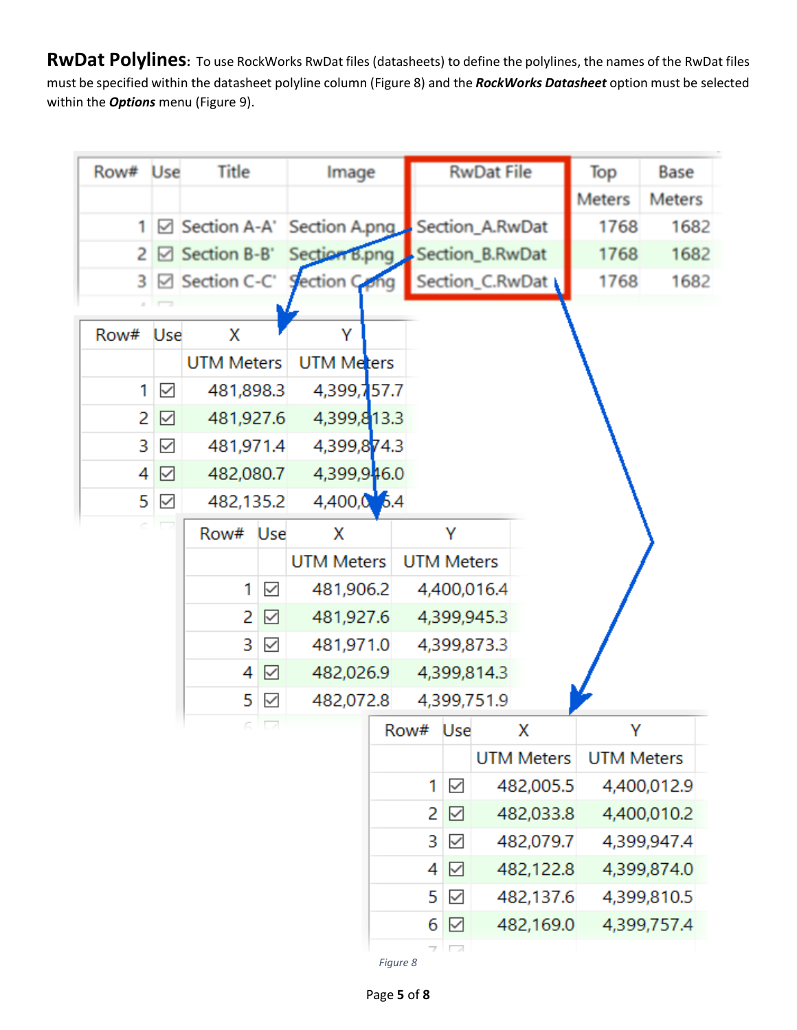**RwDat Polylines:** To use RockWorks RwDat files (datasheets) to define the polylines, the names of the RwDat files must be specified within the datasheet polyline column [\(Figure 8\)](#page-4-0) and the *RockWorks Datasheet* option must be selected within the *Options* menu [\(Figure 9\)](#page-5-0).

| Row#           | Use          | Title                      |                          | Image                                        |                   |              | <b>RwDat File</b>             | Top               | Base          |
|----------------|--------------|----------------------------|--------------------------|----------------------------------------------|-------------------|--------------|-------------------------------|-------------------|---------------|
|                |              |                            |                          |                                              |                   |              |                               | <b>Meters</b>     | <b>Meters</b> |
| 1 <sup>1</sup> |              |                            |                          | ⊠ Section A-A' Section A.png Bection_A.RwDat |                   |              |                               | 1768              | 1682          |
|                |              | $2 \boxtimes$ Section B-B' |                          |                                              |                   |              | Section B.png Section B.RwDat | 1768              | 1682          |
|                |              |                            |                          | 3 ⊠ Section C-C' Section C <sub>ro</sub> ng  |                   |              | Section_C.RwDat               | 1768              | 1682          |
|                |              |                            |                          |                                              |                   |              |                               |                   |               |
| Row#           | Use          | x                          |                          | Υ                                            |                   |              |                               |                   |               |
|                |              | <b>UTM Meters</b>          |                          | UTM Meters                                   |                   |              |                               |                   |               |
| 1              | $\checkmark$ | 481,898.3                  |                          | 4,399,757.7                                  |                   |              |                               |                   |               |
| 2              | ☑            | 481,927.6                  |                          | 4,399,813.3                                  |                   |              |                               |                   |               |
| 3              | $\checkmark$ | 481,971.4                  |                          | 4,399,874.3                                  |                   |              |                               |                   |               |
| 4              | ☑            | 482,080.7                  |                          | 4,399,946.0                                  |                   |              |                               |                   |               |
| 5              | $\checkmark$ | 482,135.2                  |                          | $4,400,0$ 5.4                                |                   |              |                               |                   |               |
|                |              | Row# Use                   |                          | x                                            |                   | Υ            |                               |                   |               |
|                |              |                            |                          | <b>UTM Meters</b>                            | <b>UTM Meters</b> |              |                               |                   |               |
|                |              | 1                          | $\checkmark$             | 481,906.2                                    |                   |              | 4,400,016.4                   |                   |               |
|                |              | 2                          | ☑                        | 481,927.6                                    |                   |              | 4,399,945.3                   |                   |               |
|                |              | 3                          | $\checkmark$             | 481,971.0                                    |                   |              | 4,399,873.3                   |                   |               |
|                |              | 4                          | ☑                        | 482,026.9                                    |                   |              | 4,399,814.3                   |                   |               |
|                |              | 5                          | $\checkmark$             | 482,072.8                                    |                   |              | 4,399,751.9                   |                   |               |
|                |              | F.                         | $\overline{\mathcal{A}}$ |                                              | Row# Use          |              | Х                             | Υ                 |               |
|                |              |                            |                          |                                              |                   |              | <b>UTM Meters</b>             | <b>UTM Meters</b> |               |
|                |              |                            |                          |                                              | 1                 | $\checkmark$ | 482,005.5                     |                   | 4,400,012.9   |
|                |              |                            |                          |                                              | 2                 | ☑            | 482,033.8                     |                   | 4,400,010.2   |
|                |              |                            |                          |                                              | 3                 | $\checkmark$ | 482,079.7                     |                   | 4,399,947.4   |
|                |              |                            |                          |                                              | 4                 | ☑            | 482,122.8                     |                   | 4,399,874.0   |
|                |              |                            |                          |                                              | 5                 | $\checkmark$ | 482,137.6                     |                   | 4,399,810.5   |
|                |              |                            |                          |                                              | 6                 | ☑            | 482,169.0                     |                   | 4,399,757.4   |
|                |              |                            |                          |                                              | 7<br>Figure 8     | □            |                               |                   |               |

<span id="page-4-0"></span>Page **5** of **8**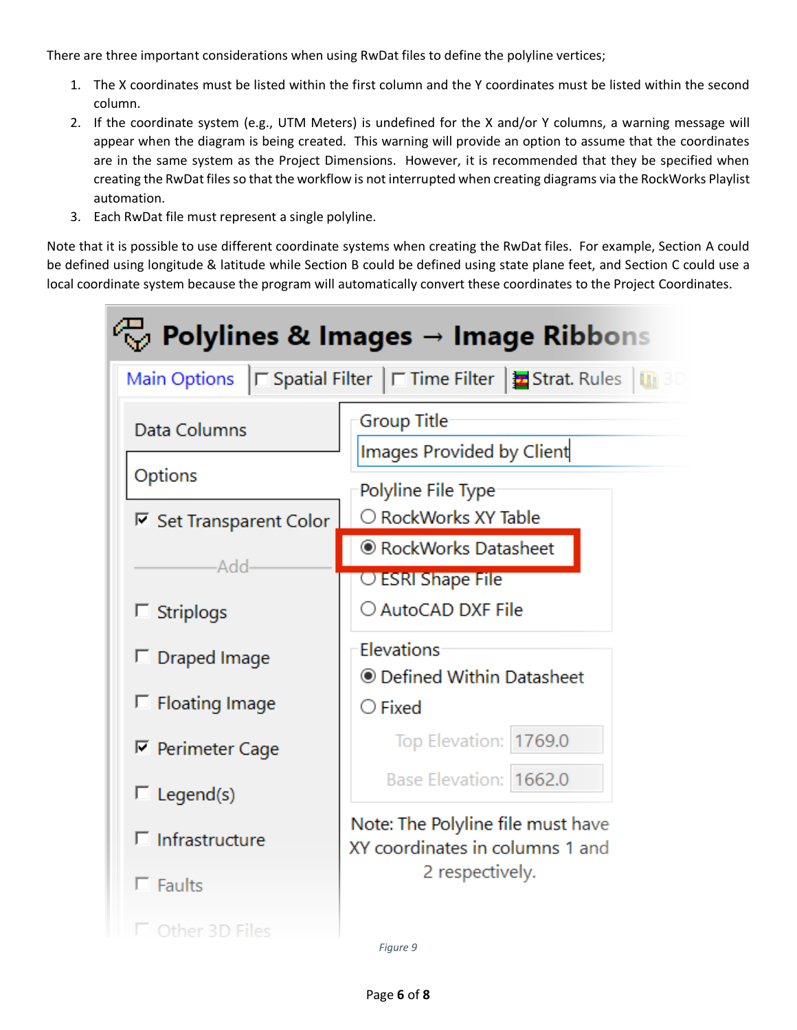There are three important considerations when using RwDat files to define the polyline vertices;

- 1. The X coordinates must be listed within the first column and the Y coordinates must be listed within the second column.
- 2. If the coordinate system (e.g., UTM Meters) is undefined for the X and/or Y columns, a warning message will appear when the diagram is being created. This warning will provide an option to assume that the coordinates are in the same system as the Project Dimensions. However, it is recommended that they be specified when creating the RwDat files so that the workflow is not interrupted when creating diagrams via the RockWorks Playlist automation.
- 3. Each RwDat file must represent a single polyline.

Note that it is possible to use different coordinate systems when creating the RwDat files. For example, Section A could be defined using longitude & latitude while Section B could be defined using state plane feet, and Section C could use a local coordinate system because the program will automatically convert these coordinates to the Project Coordinates.

|                                | $\stackrel{\scriptstyle\text{\tiny{(1)}}}{\scriptstyle\text{W}}$ Polylines & Images $\rightarrow$ Image Ribbons |  |  |  |  |  |  |
|--------------------------------|-----------------------------------------------------------------------------------------------------------------|--|--|--|--|--|--|
|                                | Main Options   Spatial Filter   F Time Filter   E Strat. Rules   11 31                                          |  |  |  |  |  |  |
| Data Columns                   | Group Title<br>Images Provided by Client                                                                        |  |  |  |  |  |  |
| Options                        | Polyline File Type                                                                                              |  |  |  |  |  |  |
| <b>▽ Set Transparent Color</b> | ○ RockWorks XY Table                                                                                            |  |  |  |  |  |  |
| Add <sub>'</sub>               | ● RockWorks Datasheet                                                                                           |  |  |  |  |  |  |
|                                | ○ ESRI Shape File                                                                                               |  |  |  |  |  |  |
| $\Box$ Striplogs               | ○ AutoCAD DXF File<br>Elevations<br>© Defined Within Datasheet                                                  |  |  |  |  |  |  |
| $\Box$ Draped Image            |                                                                                                                 |  |  |  |  |  |  |
|                                |                                                                                                                 |  |  |  |  |  |  |
| $\Box$ Floating Image          | $\bigcirc$ Fixed                                                                                                |  |  |  |  |  |  |
| $\nabla$ Perimeter Cage        | Top Elevation: 1769.0                                                                                           |  |  |  |  |  |  |
| $\Box$ Legend(s)               | Base Elevation: 1662.0                                                                                          |  |  |  |  |  |  |
| $\Box$ Infrastructure          | Note: The Polyline file must have<br>XY coordinates in columns 1 and                                            |  |  |  |  |  |  |
| $\Box$ Faults                  | 2 respectively.                                                                                                 |  |  |  |  |  |  |
| Other 3D Files                 | Fiaure 9                                                                                                        |  |  |  |  |  |  |

<span id="page-5-0"></span>Page **6** of **8**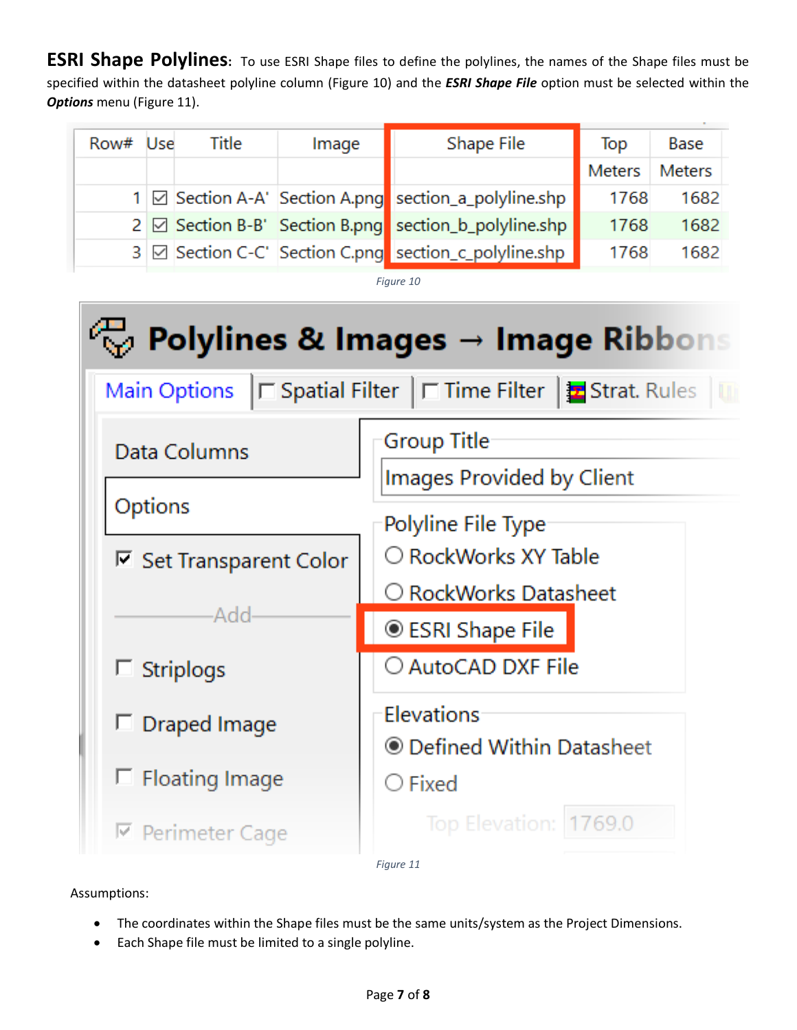**ESRI Shape Polylines:** To use ESRI Shape files to define the polylines, the names of the Shape files must be specified within the datasheet polyline column [\(Figure 10\)](#page-6-0) and the *ESRI Shape File* option must be selected within the **Options** menu [\(Figure 11\)](#page-6-1).

| Row# Use | Title | Image | Shape File                                            | Top    | Base          |
|----------|-------|-------|-------------------------------------------------------|--------|---------------|
|          |       |       |                                                       | Meters | <b>Meters</b> |
|          |       |       | 1 Ø Section A-A' Section A.png section_a_polyline.shp | 1768   | 1682          |
|          |       |       | 2 Ø Section B-B' Section B.png section_b_polyline.shp | 1768   | 1682          |
|          |       |       | 3 Ø Section C-C' Section C.png section_c_polyline.shp | 1768   | 1682          |

*Figure 10*

<span id="page-6-0"></span>

<span id="page-6-1"></span>Assumptions:

- The coordinates within the Shape files must be the same units/system as the Project Dimensions.
- Each Shape file must be limited to a single polyline.